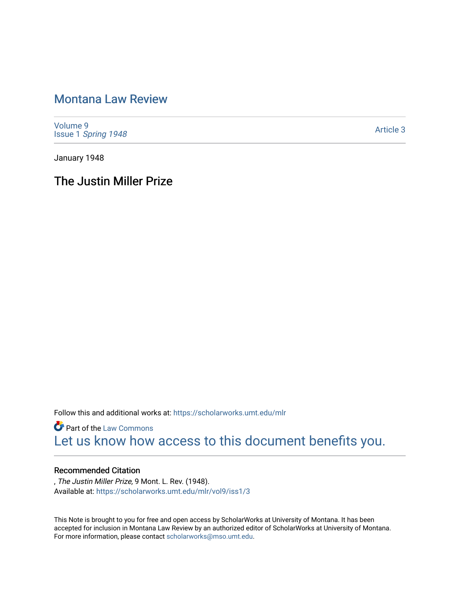## [Montana Law Review](https://scholarworks.umt.edu/mlr)

[Volume 9](https://scholarworks.umt.edu/mlr/vol9) Issue 1 [Spring 1948](https://scholarworks.umt.edu/mlr/vol9/iss1) 

[Article 3](https://scholarworks.umt.edu/mlr/vol9/iss1/3) 

January 1948

The Justin Miller Prize

Follow this and additional works at: [https://scholarworks.umt.edu/mlr](https://scholarworks.umt.edu/mlr?utm_source=scholarworks.umt.edu%2Fmlr%2Fvol9%2Fiss1%2F3&utm_medium=PDF&utm_campaign=PDFCoverPages) 

**Part of the [Law Commons](http://network.bepress.com/hgg/discipline/578?utm_source=scholarworks.umt.edu%2Fmlr%2Fvol9%2Fiss1%2F3&utm_medium=PDF&utm_campaign=PDFCoverPages)** [Let us know how access to this document benefits you.](https://goo.gl/forms/s2rGfXOLzz71qgsB2) 

### Recommended Citation

, The Justin Miller Prize, 9 Mont. L. Rev. (1948). Available at: [https://scholarworks.umt.edu/mlr/vol9/iss1/3](https://scholarworks.umt.edu/mlr/vol9/iss1/3?utm_source=scholarworks.umt.edu%2Fmlr%2Fvol9%2Fiss1%2F3&utm_medium=PDF&utm_campaign=PDFCoverPages)

This Note is brought to you for free and open access by ScholarWorks at University of Montana. It has been accepted for inclusion in Montana Law Review by an authorized editor of ScholarWorks at University of Montana. For more information, please contact [scholarworks@mso.umt.edu.](mailto:scholarworks@mso.umt.edu)